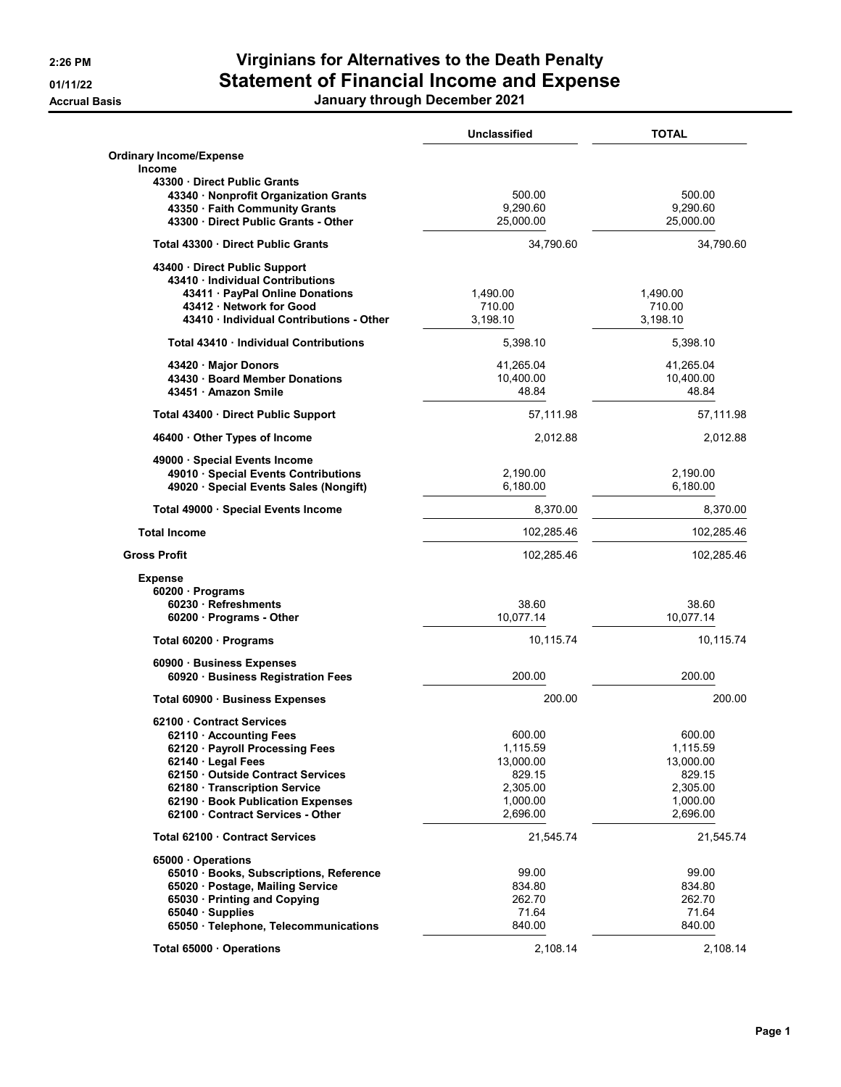## 2:26 PM Virginians for Alternatives to the Death Penalty 01/11/22 Statement of Financial Income and Expense

Accrual Basis January through December 2021

|                                          | <b>Unclassified</b> | <b>TOTAL</b> |
|------------------------------------------|---------------------|--------------|
| <b>Ordinary Income/Expense</b>           |                     |              |
| <b>Income</b>                            |                     |              |
| 43300 Direct Public Grants               |                     |              |
| 43340 · Nonprofit Organization Grants    | 500.00              | 500.00       |
| 43350 · Faith Community Grants           | 9,290.60            | 9,290.60     |
| 43300 Direct Public Grants - Other       | 25,000.00           | 25,000.00    |
| Total 43300 Direct Public Grants         | 34,790.60           | 34,790.60    |
| 43400 Direct Public Support              |                     |              |
| 43410 · Individual Contributions         |                     |              |
| 43411 · PayPal Online Donations          | 1,490.00            | 1,490.00     |
| 43412 · Network for Good                 | 710.00              | 710.00       |
| 43410 · Individual Contributions - Other | 3,198.10            | 3,198.10     |
| Total 43410 · Individual Contributions   | 5,398.10            | 5,398.10     |
| 43420 Major Donors                       | 41,265.04           | 41,265.04    |
| 43430 · Board Member Donations           | 10,400.00           | 10,400.00    |
| 43451 Amazon Smile                       | 48.84               | 48.84        |
| Total 43400 Direct Public Support        | 57,111.98           | 57,111.98    |
| 46400 Other Types of Income              | 2,012.88            | 2,012.88     |
| 49000 · Special Events Income            |                     |              |
| 49010 · Special Events Contributions     | 2,190.00            | 2,190.00     |
| 49020 · Special Events Sales (Nongift)   | 6,180.00            | 6,180.00     |
| Total 49000 Special Events Income        | 8,370.00            | 8,370.00     |
| <b>Total Income</b>                      | 102,285.46          | 102,285.46   |
| <b>Gross Profit</b>                      | 102,285.46          | 102,285.46   |
| <b>Expense</b>                           |                     |              |
| 60200 · Programs                         |                     |              |
| 60230 Refreshments                       | 38.60               | 38.60        |
| $60200 \cdot$ Programs - Other           | 10,077.14           | 10,077.14    |
| Total 60200 · Programs                   | 10,115.74           | 10,115.74    |
| 60900 · Business Expenses                |                     |              |
| 60920 · Business Registration Fees       | 200.00              | 200.00       |
| Total 60900 · Business Expenses          | 200.00              | 200.00       |
| 62100 Contract Services                  |                     |              |
| 62110 · Accounting Fees                  | 600.00              | 600.00       |
| 62120 Payroll Processing Fees            | 1,115.59            | 1,115.59     |
| 62140 Legal Fees                         | 13,000.00           | 13,000.00    |
| 62150 Outside Contract Services          | 829.15              | 829.15       |
| 62180 Transcription Service              | 2,305.00            | 2,305.00     |
| 62190 · Book Publication Expenses        | 1,000.00            | 1,000.00     |
| 62100 Contract Services - Other          | 2,696.00            | 2,696.00     |
| Total 62100 Contract Services            | 21,545.74           | 21,545.74    |
| 65000 Operations                         |                     |              |
| 65010 Books, Subscriptions, Reference    | 99.00               | 99.00        |
| 65020 · Postage, Mailing Service         | 834.80              | 834.80       |
| 65030 · Printing and Copying             | 262.70              | 262.70       |
| 65040 · Supplies                         | 71.64               | 71.64        |
| 65050 · Telephone, Telecommunications    | 840.00              | 840.00       |
| Total 65000 Operations                   | 2,108.14            | 2,108.14     |